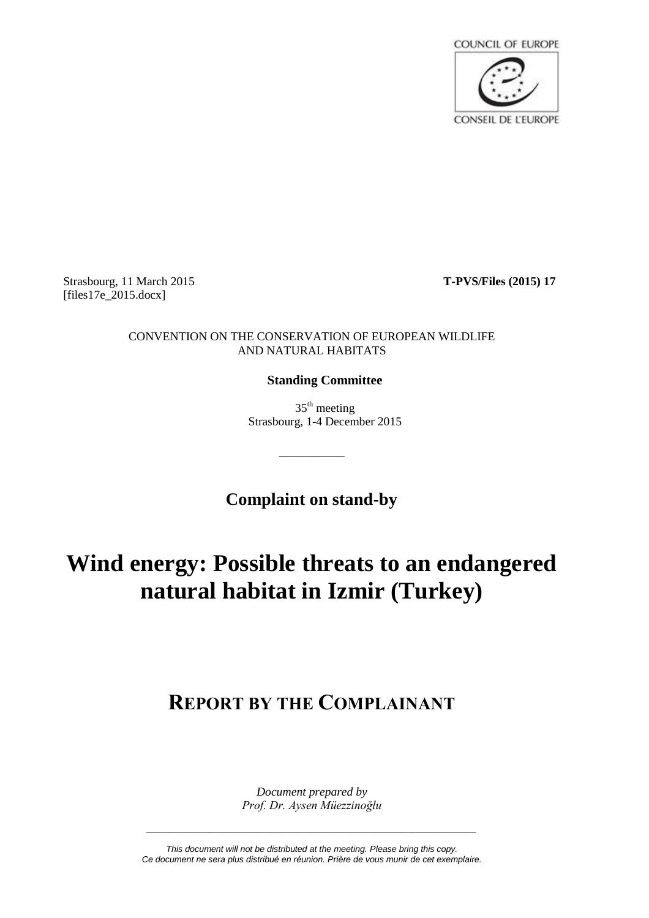

Strasbourg, 11 March 2015 **T-PVS/Files (2015) 17**  $[files17e 2015.docx]$ 

# CONVENTION ON THE CONSERVATION OF EUROPEAN WILDLIFE AND NATURAL HABITATS

# **Standing Committee**

 $35<sup>th</sup>$  meeting Strasbourg, 1-4 December 2015

**Complaint on stand-by**

\_\_\_\_\_\_\_\_\_\_

# **Wind energy: Possible threats to an endangered natural habitat in Izmir (Turkey)**

# **REPORT BY THE COMPLAINANT**

*Document prepared by Prof. Dr. Aysen Müezzinoğlu*

*This document will not be distributed at the meeting. Please bring this copy. Ce document ne sera plus distribué en réunion. Prière de vous munir de cet exemplaire.*

*\_\_\_\_\_\_\_\_\_\_\_\_\_\_\_\_\_\_\_\_\_\_\_\_\_\_\_\_\_\_\_\_\_\_\_\_\_\_\_\_\_\_\_\_\_\_\_\_\_\_\_\_\_\_\_\_\_\_\_\_\_\_\_\_\_\_\_\_*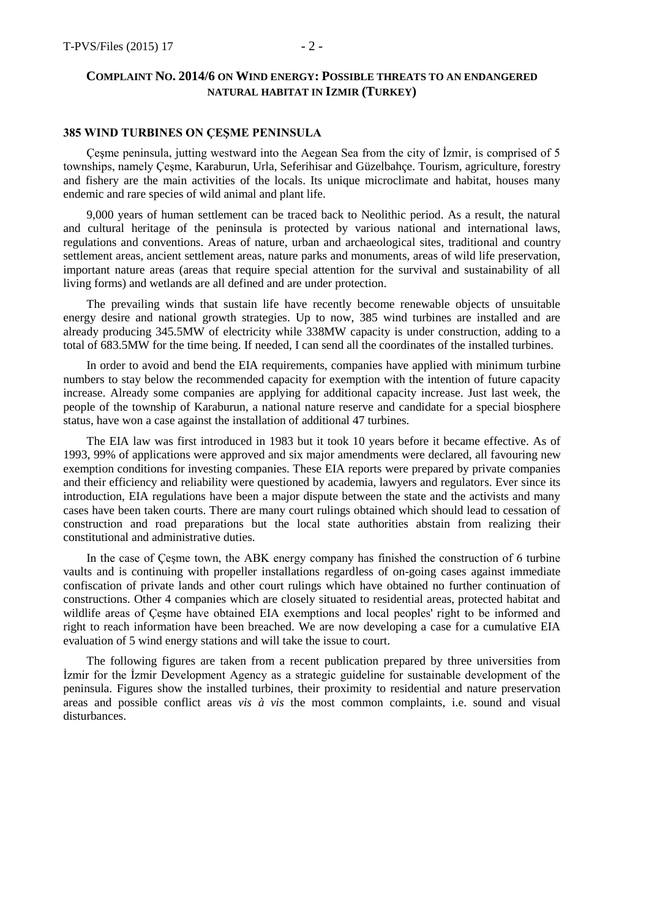## **385 WIND TURBINES ON ÇEŞME PENINSULA**

Çeşme peninsula, jutting westward into the Aegean Sea from the city of İzmir, is comprised of 5 townships, namely Çeşme, Karaburun, Urla, Seferihisar and Güzelbahçe. Tourism, agriculture, forestry and fishery are the main activities of the locals. Its unique microclimate and habitat, houses many endemic and rare species of wild animal and plant life.

9,000 years of human settlement can be traced back to Neolithic period. As a result, the natural and cultural heritage of the peninsula is protected by various national and international laws, regulations and conventions. Areas of nature, urban and archaeological sites, traditional and country settlement areas, ancient settlement areas, nature parks and monuments, areas of wild life preservation, important nature areas (areas that require special attention for the survival and sustainability of all living forms) and wetlands are all defined and are under protection.

The prevailing winds that sustain life have recently become renewable objects of unsuitable energy desire and national growth strategies. Up to now, 385 wind turbines are installed and are already producing 345.5MW of electricity while 338MW capacity is under construction, adding to a total of 683.5MW for the time being. If needed, I can send all the coordinates of the installed turbines.

In order to avoid and bend the EIA requirements, companies have applied with minimum turbine numbers to stay below the recommended capacity for exemption with the intention of future capacity increase. Already some companies are applying for additional capacity increase. Just last week, the people of the township of Karaburun, a national nature reserve and candidate for a special biosphere status, have won a case against the installation of additional 47 turbines.

The EIA law was first introduced in 1983 but it took 10 years before it became effective. As of 1993, 99% of applications were approved and six major amendments were declared, all favouring new exemption conditions for investing companies. These EIA reports were prepared by private companies and their efficiency and reliability were questioned by academia, lawyers and regulators. Ever since its introduction, EIA regulations have been a major dispute between the state and the activists and many cases have been taken courts. There are many court rulings obtained which should lead to cessation of construction and road preparations but the local state authorities abstain from realizing their constitutional and administrative duties.

In the case of Çeşme town, the ABK energy company has finished the construction of 6 turbine vaults and is continuing with propeller installations regardless of on-going cases against immediate confiscation of private lands and other court rulings which have obtained no further continuation of constructions. Other 4 companies which are closely situated to residential areas, protected habitat and wildlife areas of Çeşme have obtained EIA exemptions and local peoples' right to be informed and right to reach information have been breached. We are now developing a case for a cumulative EIA evaluation of 5 wind energy stations and will take the issue to court.

The following figures are taken from a recent publication prepared by three universities from İzmir for the İzmir Development Agency as a strategic guideline for sustainable development of the peninsula. Figures show the installed turbines, their proximity to residential and nature preservation areas and possible conflict areas *vis à vis* the most common complaints, i.e. sound and visual disturbances.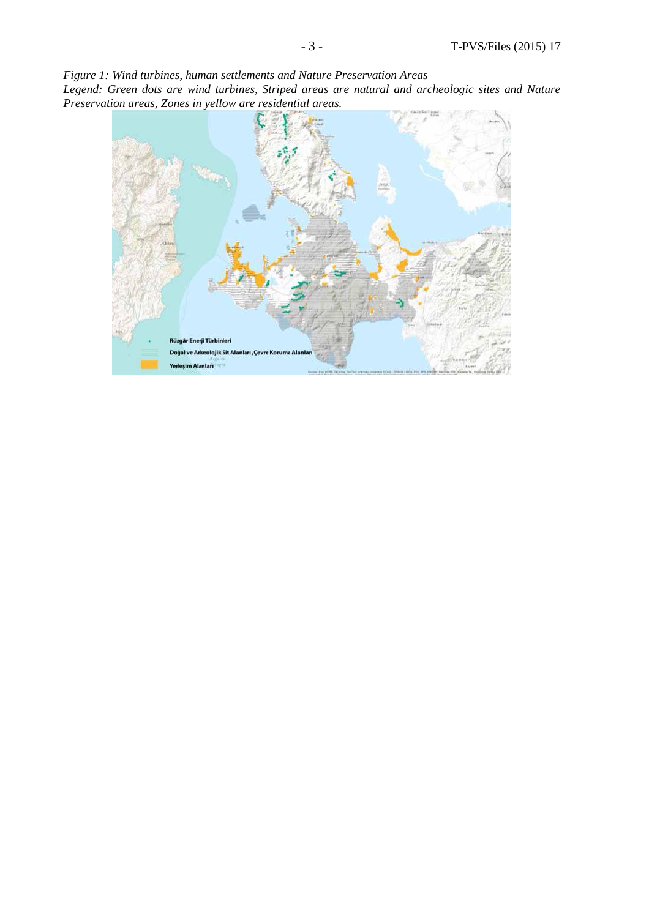*Figure 1: Wind turbines, human settlements and Nature Preservation Areas* 

*Legend: Green dots are wind turbines, Striped areas are natural and archeologic sites and Nature Preservation areas, Zones in yellow are residential areas.*

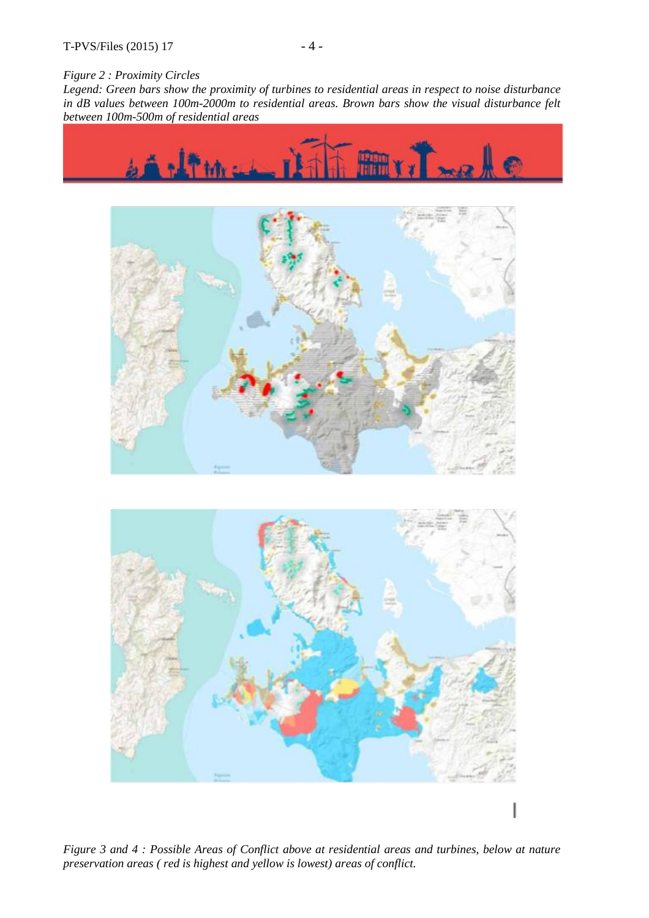#### *Figure 2 : Proximity Circles*

*Legend: Green bars show the proximity of turbines to residential areas in respect to noise disturbance in dB values between 100m-2000m to residential areas. Brown bars show the visual disturbance felt between 100m-500m of residential areas*







*Figure 3 and 4 : Possible Areas of Conflict above at residential areas and turbines, below at nature preservation areas ( red is highest and yellow is lowest) areas of conflict.*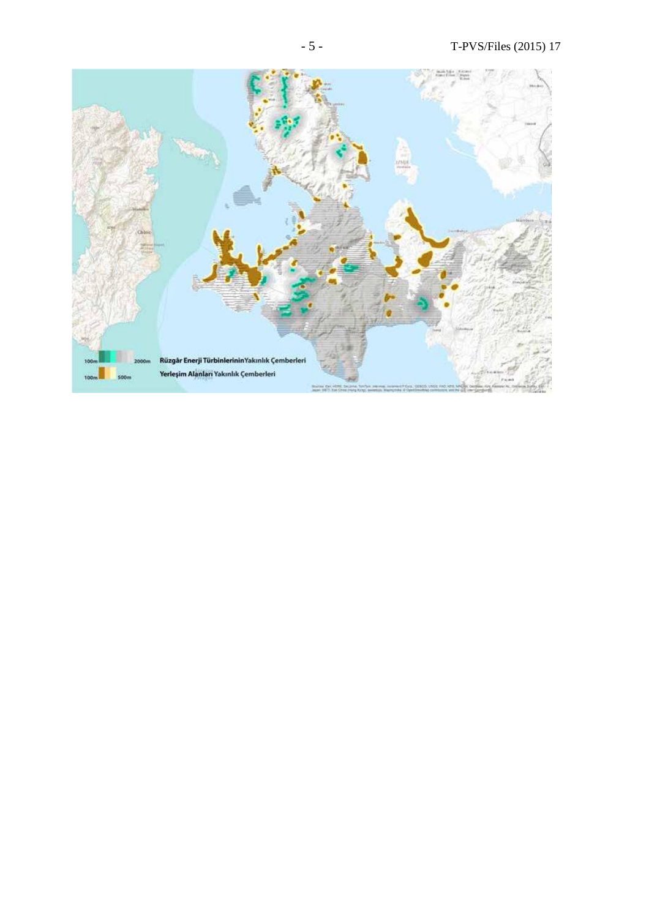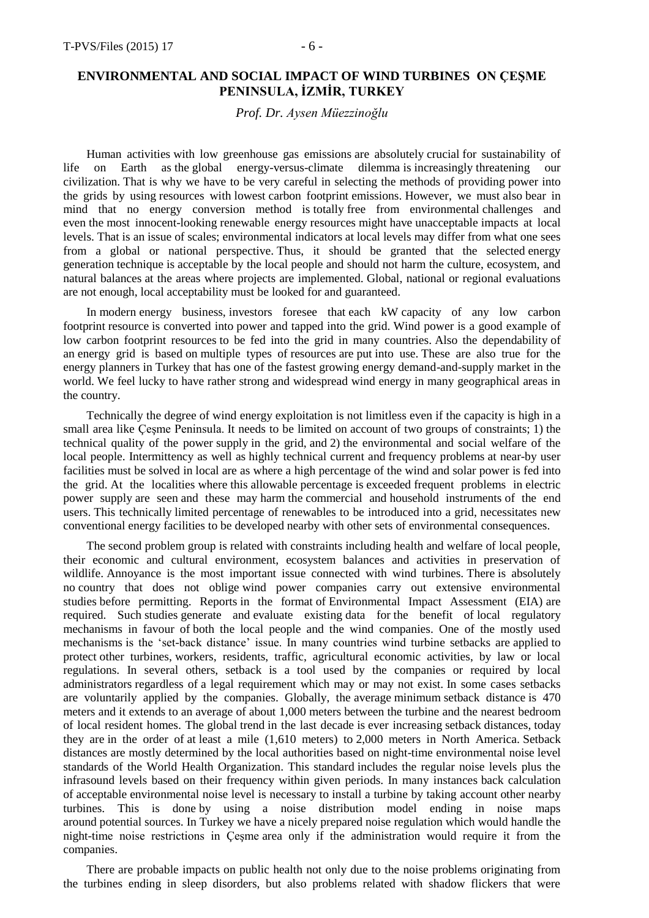# **ENVIRONMENTAL AND SOCIAL IMPACT OF WIND TURBINES ON ÇEŞME PENINSULA, İZMİR, TURKEY**

### *Prof. Dr. Aysen Müezzinoğlu*

Human activities with low greenhouse gas emissions are absolutely crucial for sustainability of life on Earth as the global energy-versus-climate dilemma is increasingly threatening our civilization. That is why we have to be very careful in selecting the methods of providing power into the grids by using resources with lowest carbon footprint emissions. However, we must also bear in mind that no energy conversion method is totally free from environmental challenges and even the most innocent-looking renewable energy resources might have unacceptable impacts at local levels. That is an issue of scales; environmental indicators at local levels may differ from what one sees from a global or national perspective. Thus, it should be granted that the selected energy generation technique is acceptable by the local people and should not harm the culture, ecosystem, and natural balances at the areas where projects are implemented. Global, national or regional evaluations are not enough, local acceptability must be looked for and guaranteed.

In modern energy business, investors foresee that each kW capacity of any low carbon footprint resource is converted into power and tapped into the grid. Wind power is a good example of low carbon footprint resources to be fed into the grid in many countries. Also the dependability of an energy grid is based on multiple types of resources are put into use. These are also true for the energy planners in Turkey that has one of the fastest growing energy demand-and-supply market in the world. We feel lucky to have rather strong and widespread wind energy in many geographical areas in the country.

Technically the degree of wind energy exploitation is not limitless even if the capacity is high in a small area like Çeşme Peninsula. It needs to be limited on account of two groups of constraints; 1) the technical quality of the power supply in the grid, and 2) the environmental and social welfare of the local people. Intermittency as well as highly technical current and frequency problems at near-by user facilities must be solved in local are as where a high percentage of the wind and solar power is fed into the grid. At the localities where this allowable percentage is exceeded frequent problems in electric power supply are seen and these may harm the commercial and household instruments of the end users. This technically limited percentage of renewables to be introduced into a grid, necessitates new conventional energy facilities to be developed nearby with other sets of environmental consequences.

The second problem group is related with constraints including health and welfare of local people, their economic and cultural environment, ecosystem balances and activities in preservation of wildlife. Annoyance is the most important issue connected with wind turbines. There is absolutely no country that does not oblige wind power companies carry out extensive environmental studies before permitting. Reports in the format of Environmental Impact Assessment (EIA) are required. Such studies generate and evaluate existing data for the benefit of local regulatory mechanisms in favour of both the local people and the wind companies. One of the mostly used mechanisms is the 'set-back distance' issue. In many countries wind turbine setbacks are applied to protect other turbines, workers, residents, traffic, agricultural economic activities, by law or local regulations. In several others, setback is a tool used by the companies or required by local administrators regardless of a legal requirement which may or may not exist. In some cases setbacks are voluntarily applied by the companies. Globally, the average minimum setback distance is 470 meters and it extends to an average of about 1,000 meters between the turbine and the nearest bedroom of local resident homes. The global trend in the last decade is ever increasing setback distances, today they are in the order of at least a mile (1,610 meters) to 2,000 meters in North America. Setback distances are mostly determined by the local authorities based on night-time environmental noise level standards of the World Health Organization. This standard includes the regular noise levels plus the infrasound levels based on their frequency within given periods. In many instances back calculation of acceptable environmental noise level is necessary to install a turbine by taking account other nearby turbines. This is done by using a noise distribution model ending in noise maps around potential sources. In Turkey we have a nicely prepared noise regulation which would handle the night-time noise restrictions in Çeşme area only if the administration would require it from the companies.

There are probable impacts on public health not only due to the noise problems originating from the turbines ending in sleep disorders, but also problems related with shadow flickers that were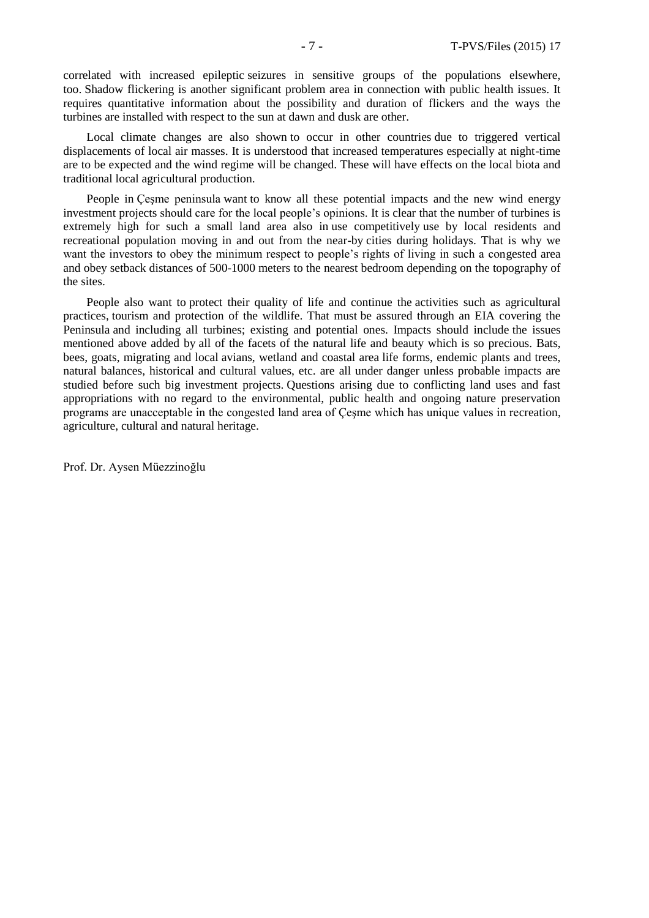correlated with increased epileptic seizures in sensitive groups of the populations elsewhere, too. Shadow flickering is another significant problem area in connection with public health issues. It requires quantitative information about the possibility and duration of flickers and the ways the turbines are installed with respect to the sun at dawn and dusk are other.

Local climate changes are also shown to occur in other countries due to triggered vertical displacements of local air masses. It is understood that increased temperatures especially at night-time are to be expected and the wind regime will be changed. These will have effects on the local biota and traditional local agricultural production.

People in Çeşme peninsula want to know all these potential impacts and the new wind energy investment projects should care for the local people's opinions. It is clear that the number of turbines is extremely high for such a small land area also in use competitively use by local residents and recreational population moving in and out from the near-by cities during holidays. That is why we want the investors to obey the minimum respect to people's rights of living in such a congested area and obey setback distances of 500-1000 meters to the nearest bedroom depending on the topography of the sites.

People also want to protect their quality of life and continue the activities such as agricultural practices, tourism and protection of the wildlife. That must be assured through an EIA covering the Peninsula and including all turbines; existing and potential ones. Impacts should include the issues mentioned above added by all of the facets of the natural life and beauty which is so precious. Bats, bees, goats, migrating and local avians, wetland and coastal area life forms, endemic plants and trees, natural balances, historical and cultural values, etc. are all under danger unless probable impacts are studied before such big investment projects. Questions arising due to conflicting land uses and fast appropriations with no regard to the environmental, public health and ongoing nature preservation programs are unacceptable in the congested land area of Çeşme which has unique values in recreation, agriculture, cultural and natural heritage.

Prof. Dr. Aysen Müezzinoğlu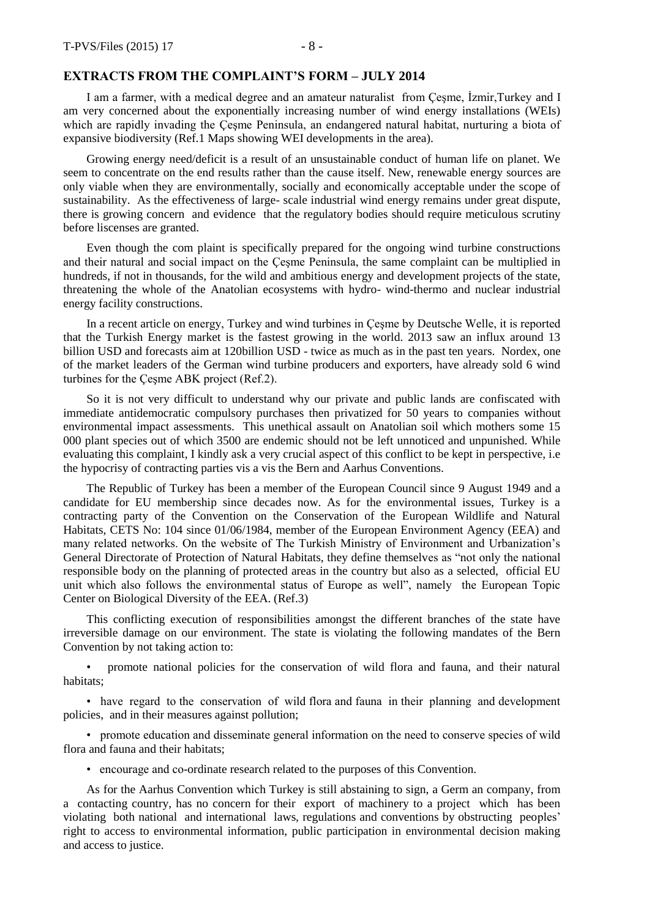#### **EXTRACTS FROM THE COMPLAINT'S FORM – JULY 2014**

I am a farmer, with a medical degree and an amateur naturalist from Çeşme, İzmir,Turkey and I am very concerned about the exponentially increasing number of wind energy installations (WEIs) which are rapidly invading the Çeşme Peninsula, an endangered natural habitat, nurturing a biota of expansive biodiversity (Ref.1 Maps showing WEI developments in the area).

Growing energy need/deficit is a result of an unsustainable conduct of human life on planet. We seem to concentrate on the end results rather than the cause itself. New, renewable energy sources are only viable when they are environmentally, socially and economically acceptable under the scope of sustainability. As the effectiveness of large- scale industrial wind energy remains under great dispute, there is growing concern and evidence that the regulatory bodies should require meticulous scrutiny before liscenses are granted.

Even though the com plaint is specifically prepared for the ongoing wind turbine constructions and their natural and social impact on the Çeşme Peninsula, the same complaint can be multiplied in hundreds, if not in thousands, for the wild and ambitious energy and development projects of the state, threatening the whole of the Anatolian ecosystems with hydro- wind-thermo and nuclear industrial energy facility constructions.

In a recent article on energy, Turkey and wind turbines in Çeşme by Deutsche Welle, it is reported that the Turkish Energy market is the fastest growing in the world. 2013 saw an influx around 13 billion USD and forecasts aim at 120billion USD - twice as much as in the past ten years. Nordex, one of the market leaders of the German wind turbine producers and exporters, have already sold 6 wind turbines for the Çeşme ABK project (Ref.2).

So it is not very difficult to understand why our private and public lands are confiscated with immediate antidemocratic compulsory purchases then privatized for 50 years to companies without environmental impact assessments. This unethical assault on Anatolian soil which mothers some 15 000 plant species out of which 3500 are endemic should not be left unnoticed and unpunished. While evaluating this complaint, I kindly ask a very crucial aspect of this conflict to be kept in perspective, i.e the hypocrisy of contracting parties vis a vis the Bern and Aarhus Conventions.

The Republic of Turkey has been a member of the European Council since 9 August 1949 and a candidate for EU membership since decades now. As for the environmental issues, Turkey is a contracting party of the Convention on the Conservation of the European Wildlife and Natural Habitats, CETS No: 104 since 01/06/1984, member of the European Environment Agency (EEA) and many related networks. On the website of The Turkish Ministry of Environment and Urbanization's General Directorate of Protection of Natural Habitats, they define themselves as "not only the national responsible body on the planning of protected areas in the country but also as a selected, official EU unit which also follows the environmental status of Europe as well", namely the European Topic Center on Biological Diversity of the EEA. (Ref.3)

This conflicting execution of responsibilities amongst the different branches of the state have irreversible damage on our environment. The state is violating the following mandates of the Bern Convention by not taking action to:

• promote national policies for the conservation of wild flora and fauna, and their natural habitats;

• have regard to the conservation of wild flora and fauna in their planning and development policies, and in their measures against pollution;

• promote education and disseminate general information on the need to conserve species of wild flora and fauna and their habitats;

• encourage and co-ordinate research related to the purposes of this Convention.

As for the Aarhus Convention which Turkey is still abstaining to sign, a Germ an company, from a contacting country, has no concern for their export of machinery to a project which has been violating both national and international laws, regulations and conventions by obstructing peoples' right to access to environmental information, public participation in environmental decision making and access to justice.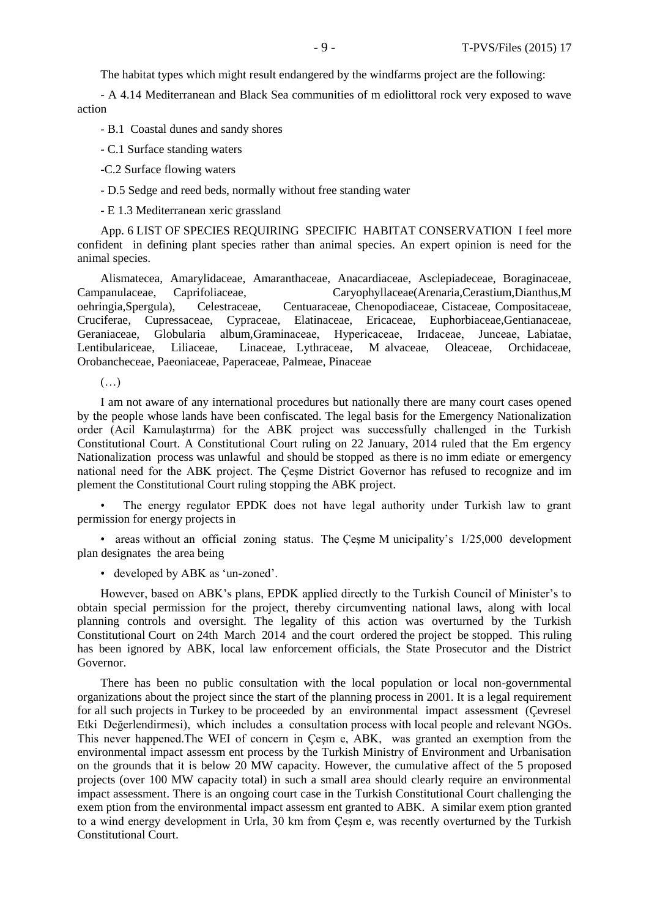The habitat types which might result endangered by the windfarms project are the following:

- A 4.14 Mediterranean and Black Sea communities of m ediolittoral rock very exposed to wave action

- B.1 Coastal dunes and sandy shores

- C.1 Surface standing waters

-C.2 Surface flowing waters

- D.5 Sedge and reed beds, normally without free standing water

- E 1.3 Mediterranean xeric grassland

App. 6 LIST OF SPECIES REQUIRING SPECIFIC HABITAT CONSERVATION I feel more confident in defining plant species rather than animal species. An expert opinion is need for the animal species.

Alismatecea, Amarylidaceae, Amaranthaceae, Anacardiaceae, Asclepiadeceae, Boraginaceae, Campanulaceae, Caprifoliaceae, Caryophyllaceae(Arenaria,Cerastium,Dianthus,M oehringia,Spergula), Celestraceae, Centuaraceae, Chenopodiaceae, Cistaceae, Compositaceae, Cruciferae, Cupressaceae, Cypraceae, Elatinaceae, Ericaceae, Euphorbiaceae,Gentianaceae, Geraniaceae, Globularia album,Graminaceae, Hypericaceae, Irıdaceae, Junceae, Labiatae, Lentibulariceae, Liliaceae, Linaceae, Lythraceae, M alvaceae, Oleaceae, Orchidaceae, Orobancheceae, Paeoniaceae, Paperaceae, Palmeae, Pinaceae

 $(\ldots)$ 

I am not aware of any international procedures but nationally there are many court cases opened by the people whose lands have been confiscated. The legal basis for the Emergency Nationalization order (Acil Kamulaştırma) for the ABK project was successfully challenged in the Turkish Constitutional Court. A Constitutional Court ruling on 22 January, 2014 ruled that the Em ergency Nationalization process was unlawful and should be stopped as there is no imm ediate or emergency national need for the ABK project. The Çeşme District Governor has refused to recognize and im plement the Constitutional Court ruling stopping the ABK project.

• The energy regulator EPDK does not have legal authority under Turkish law to grant permission for energy projects in

• areas without an official zoning status. The Çeşme M unicipality's 1/25,000 development plan designates the area being

• developed by ABK as 'un-zoned'.

However, based on ABK's plans, EPDK applied directly to the Turkish Council of Minister's to obtain special permission for the project, thereby circumventing national laws, along with local planning controls and oversight. The legality of this action was overturned by the Turkish Constitutional Court on 24th March 2014 and the court ordered the project be stopped. This ruling has been ignored by ABK, local law enforcement officials, the State Prosecutor and the District Governor.

There has been no public consultation with the local population or local non-governmental organizations about the project since the start of the planning process in 2001. It is a legal requirement for all such projects in Turkey to be proceeded by an environmental impact assessment (Çevresel Etki Değerlendirmesi), which includes a consultation process with local people and relevant NGOs. This never happened.The WEI of concern in Çeşm e, ABK, was granted an exemption from the environmental impact assessm ent process by the Turkish Ministry of Environment and Urbanisation on the grounds that it is below 20 MW capacity. However, the cumulative affect of the 5 proposed projects (over 100 MW capacity total) in such a small area should clearly require an environmental impact assessment. There is an ongoing court case in the Turkish Constitutional Court challenging the exem ption from the environmental impact assessm ent granted to ABK. A similar exem ption granted to a wind energy development in Urla, 30 km from Çeşm e, was recently overturned by the Turkish Constitutional Court.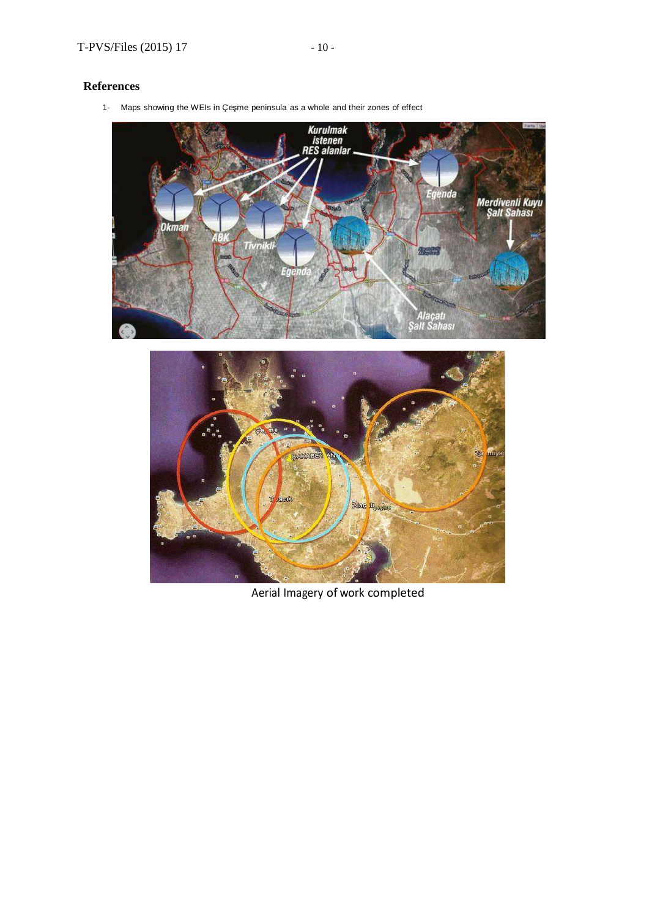### **References**

1- Maps showing the WEIs in Çeşme peninsula as a whole and their zones of effect





Aerial Imagery of work completed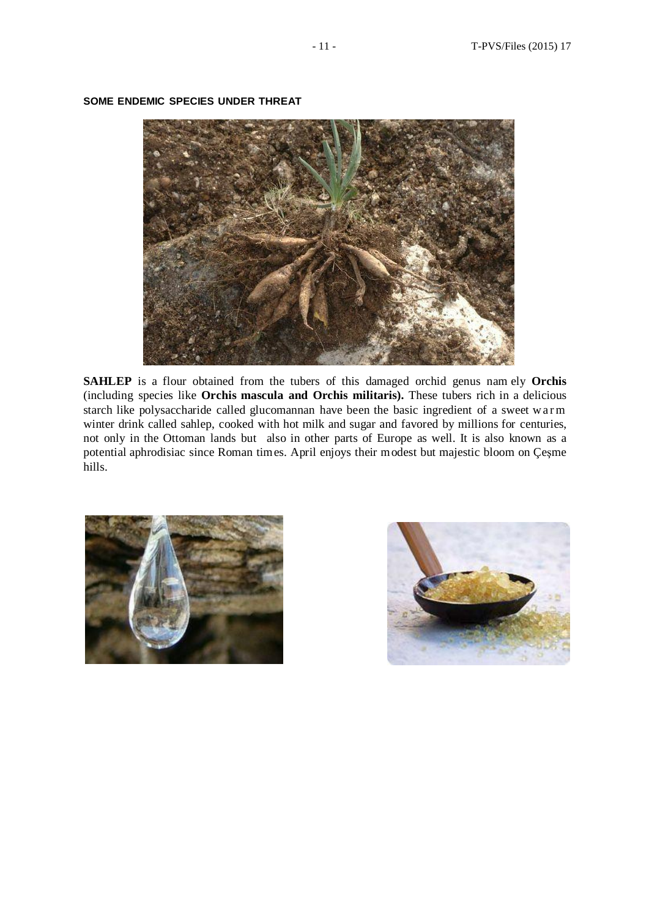

#### **SOME ENDEMIC SPECIES UNDER THREAT**

**SAHLEP** is a flour obtained from the tubers of this damaged orchid genus nam ely **Orchis** (including species like **Orchis mascula and Orchis militaris).** These tubers rich in a delicious starch like polysaccharide called glucomannan have been the basic ingredient of a sweet w arm winter drink called sahlep, cooked with hot milk and sugar and favored by millions for centuries, not only in the Ottoman lands but also in other parts of Europe as well. It is also known as a potential aphrodisiac since Roman times. April enjoys their modest but majestic bloom on Çeşme hills.